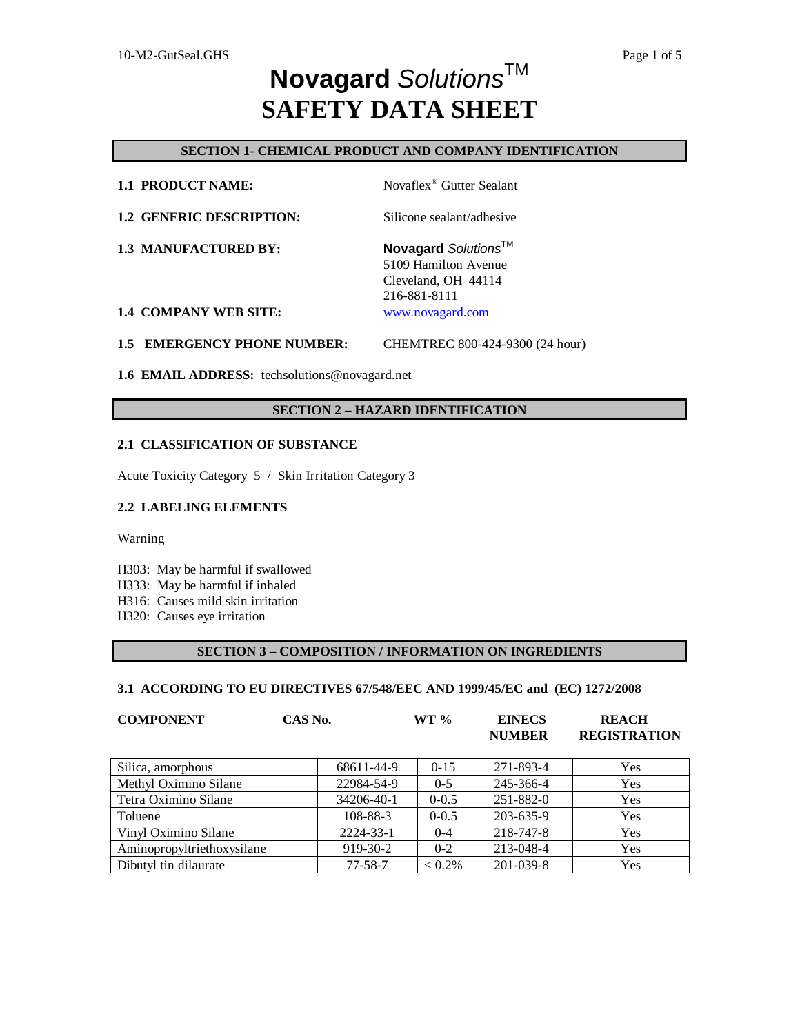## **SECTION 1- CHEMICAL PRODUCT AND COMPANY IDENTIFICATION**

| <b>1.2 GENERIC DESCRIPTION:</b> | Silicone sealant/adhesive |
|---------------------------------|---------------------------|
|                                 |                           |

**1.1 PRODUCT NAME:** Novaflex<sup>®</sup> Gutter Sealant

**1.3 MANUFACTURED BY: Novagard** *Solutions*TM 5109 Hamilton Avenue Cleveland, OH 44114 216-881-8111

**1.4 COMPANY WEB SITE:** [www.novagard.com](http://www.novagard.com)

**1.5 EMERGENCY PHONE NUMBER:** CHEMTREC 800-424-9300 (24 hour)

**1.6 EMAIL ADDRESS:** techsolutions@novagard.net

### **SECTION 2 – HAZARD IDENTIFICATION**

#### **2.1 CLASSIFICATION OF SUBSTANCE**

Acute Toxicity Category 5 / Skin Irritation Category 3

#### **2.2 LABELING ELEMENTS**

Warning

H303: May be harmful if swallowed

- H333: May be harmful if inhaled
- H316: Causes mild skin irritation
- H320: Causes eye irritation

### **SECTION 3 – COMPOSITION / INFORMATION ON INGREDIENTS**

## **3.1 ACCORDING TO EU DIRECTIVES 67/548/EEC AND 1999/45/EC and (EC) 1272/2008**

| <b>COMPONENT</b>           | CAS No.       | $WT \%$   | <b>EINECS</b><br><b>NUMBER</b> | <b>REACH</b><br><b>REGISTRATION</b> |
|----------------------------|---------------|-----------|--------------------------------|-------------------------------------|
| Silica, amorphous          | 68611-44-9    | $0 - 15$  | 271-893-4                      | Yes                                 |
| Methyl Oximino Silane      | 22984-54-9    | $0 - 5$   | 245-366-4                      | Yes                                 |
| Tetra Oximino Silane       | 34206-40-1    | $0 - 0.5$ | 251-882-0                      | Yes                                 |
| Toluene                    | 108-88-3      | $0 - 0.5$ | 203-635-9                      | Yes                                 |
| Vinyl Oximino Silane       | 2224-33-1     | $0 - 4$   | 218-747-8                      | Yes                                 |
| Aminopropyltriethoxysilane | 919-30-2      | $0 - 2$   | 213-048-4                      | Yes                                 |
| Dibutyl tin dilaurate      | $77 - 58 - 7$ | $< 0.2\%$ | 201-039-8                      | Yes                                 |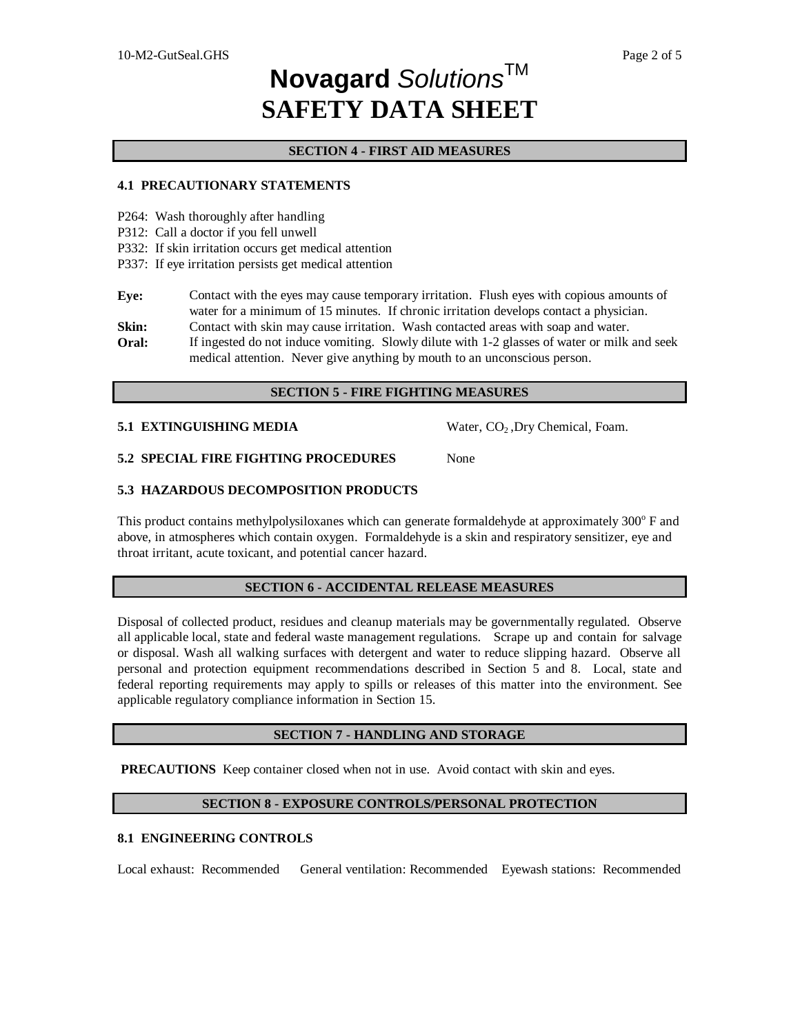## **SECTION 4 - FIRST AID MEASURES**

### **4.1 PRECAUTIONARY STATEMENTS**

- P264: Wash thoroughly after handling
- P312: Call a doctor if you fell unwell
- P332: If skin irritation occurs get medical attention
- P337: If eye irritation persists get medical attention

**Eye:** Contact with the eyes may cause temporary irritation. Flush eyes with copious amounts of water for a minimum of 15 minutes. If chronic irritation develops contact a physician.

- **Skin:** Contact with skin may cause irritation. Wash contacted areas with soap and water.
- **Oral:** If ingested do not induce vomiting. Slowly dilute with 1-2 glasses of water or milk and seek medical attention. Never give anything by mouth to an unconscious person.

### **SECTION 5 - FIRE FIGHTING MEASURES**

### **5.1 EXTINGUISHING MEDIA** Water, CO<sub>2</sub>, Dry Chemical, Foam.

**5.2 SPECIAL FIRE FIGHTING PROCEDURES** None

## **5.3 HAZARDOUS DECOMPOSITION PRODUCTS**

This product contains methylpolysiloxanes which can generate formaldehyde at approximately 300° F and above, in atmospheres which contain oxygen. Formaldehyde is a skin and respiratory sensitizer, eye and throat irritant, acute toxicant, and potential cancer hazard.

## **SECTION 6 - ACCIDENTAL RELEASE MEASURES**

Disposal of collected product, residues and cleanup materials may be governmentally regulated. Observe all applicable local, state and federal waste management regulations. Scrape up and contain for salvage or disposal. Wash all walking surfaces with detergent and water to reduce slipping hazard. Observe all personal and protection equipment recommendations described in Section 5 and 8. Local, state and federal reporting requirements may apply to spills or releases of this matter into the environment. See applicable regulatory compliance information in Section 15.

### **SECTION 7 - HANDLING AND STORAGE**

**PRECAUTIONS** Keep container closed when not in use. Avoid contact with skin and eyes.

## **SECTION 8 - EXPOSURE CONTROLS/PERSONAL PROTECTION**

## **8.1 ENGINEERING CONTROLS**

Local exhaust: Recommended General ventilation: Recommended Eyewash stations: Recommended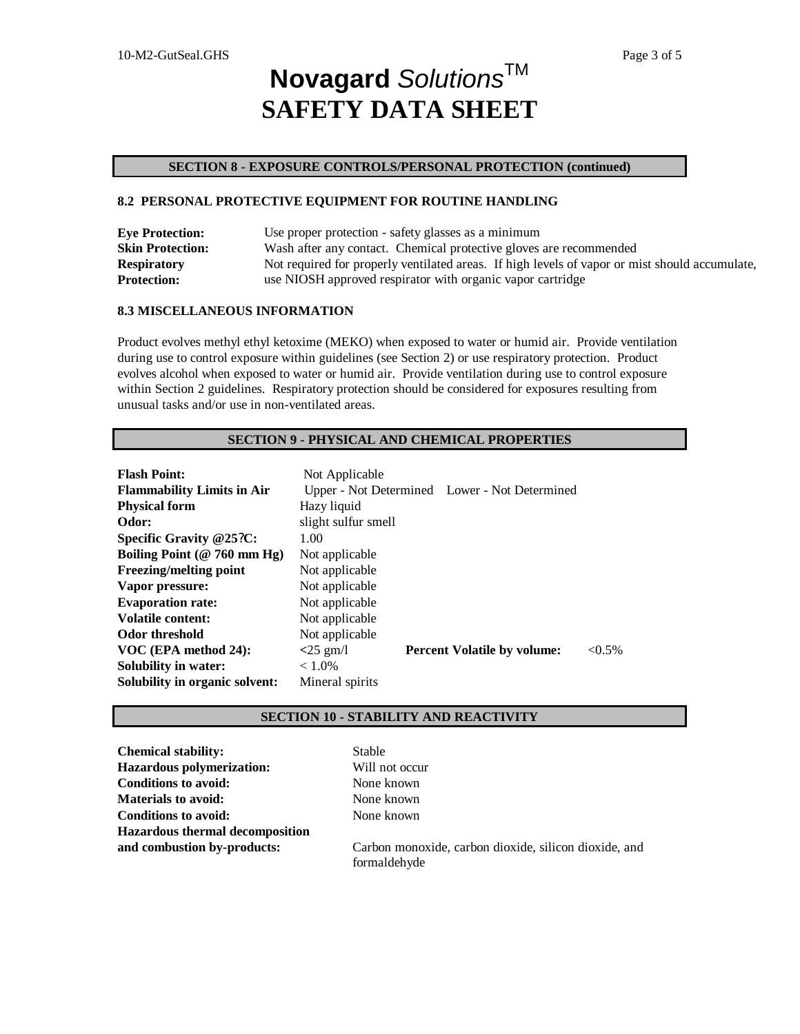## **SECTION 8 - EXPOSURE CONTROLS/PERSONAL PROTECTION (continued)**

## **8.2 PERSONAL PROTECTIVE EQUIPMENT FOR ROUTINE HANDLING**

| <b>Eye Protection:</b>  | Use proper protection - safety glasses as a minimum                                            |
|-------------------------|------------------------------------------------------------------------------------------------|
| <b>Skin Protection:</b> | Wash after any contact. Chemical protective gloves are recommended                             |
| <b>Respiratory</b>      | Not required for properly ventilated areas. If high levels of vapor or mist should accumulate, |
| <b>Protection:</b>      | use NIOSH approved respirator with organic vapor cartridge                                     |

## **8.3 MISCELLANEOUS INFORMATION**

Product evolves methyl ethyl ketoxime (MEKO) when exposed to water or humid air. Provide ventilation during use to control exposure within guidelines (see Section 2) or use respiratory protection. Product evolves alcohol when exposed to water or humid air. Provide ventilation during use to control exposure within Section 2 guidelines. Respiratory protection should be considered for exposures resulting from unusual tasks and/or use in non-ventilated areas.

## **SECTION 9 - PHYSICAL AND CHEMICAL PROPERTIES**

| <b>Flash Point:</b>               | Not Applicable      |                                               |           |
|-----------------------------------|---------------------|-----------------------------------------------|-----------|
| <b>Flammability Limits in Air</b> |                     | Upper - Not Determined Lower - Not Determined |           |
| <b>Physical form</b>              | Hazy liquid         |                                               |           |
| Odor:                             | slight sulfur smell |                                               |           |
| Specific Gravity @25?C:           | 1.00                |                                               |           |
| Boiling Point ( $@ 760$ mm Hg)    | Not applicable      |                                               |           |
| Freezing/melting point            | Not applicable      |                                               |           |
| Vapor pressure:                   | Not applicable      |                                               |           |
| <b>Evaporation rate:</b>          | Not applicable      |                                               |           |
| Volatile content:                 | Not applicable      |                                               |           |
| Odor threshold                    | Not applicable      |                                               |           |
| VOC (EPA method 24):              | $<$ 25 gm/l         | <b>Percent Volatile by volume:</b>            | $< 0.5\%$ |
| <b>Solubility in water:</b>       | $< 1.0\%$           |                                               |           |
| Solubility in organic solvent:    | Mineral spirits     |                                               |           |

## **SECTION 10 - STABILITY AND REACTIVITY**

| <b>Chemical stability:</b>             | <b>Stable</b>                                         |
|----------------------------------------|-------------------------------------------------------|
| <b>Hazardous polymerization:</b>       | Will not occur                                        |
| <b>Conditions to avoid:</b>            | None known                                            |
| <b>Materials to avoid:</b>             | None known                                            |
| <b>Conditions to avoid:</b>            | None known                                            |
| <b>Hazardous thermal decomposition</b> |                                                       |
| and combustion by-products:            | Carbon monoxide, carbon dioxide, silicon dioxide, and |
|                                        | formaldehyde                                          |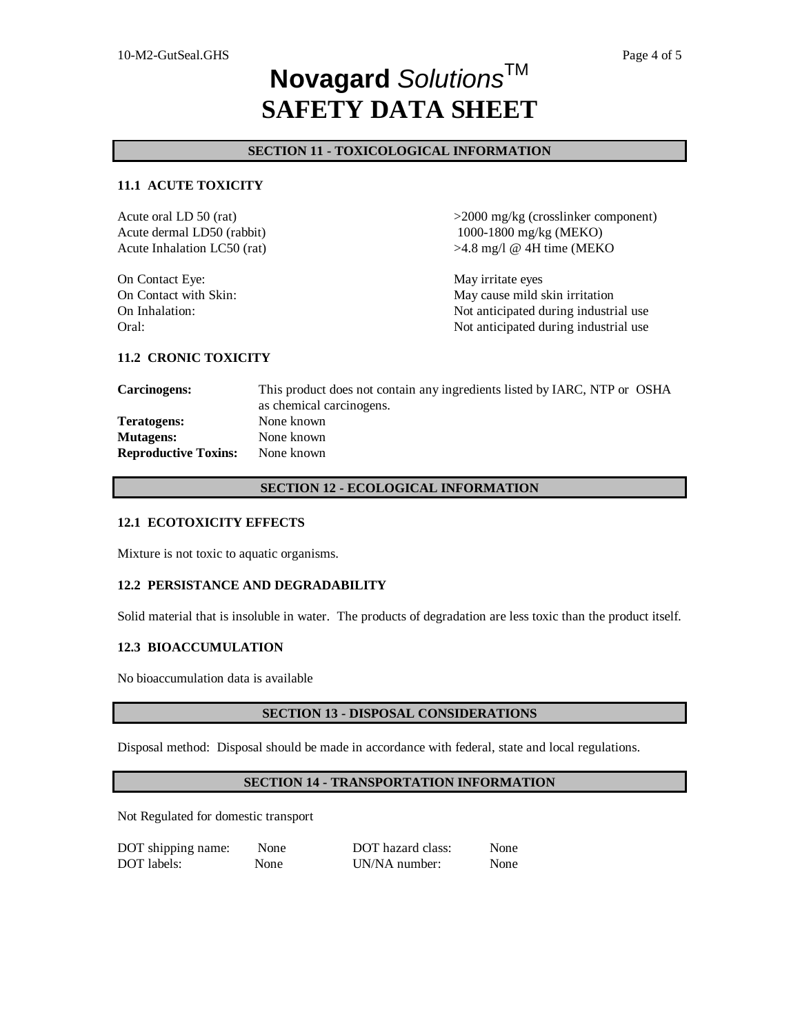## **SECTION 11 - TOXICOLOGICAL INFORMATION**

## **11.1 ACUTE TOXICITY**

Acute oral LD 50 (rat)  $>2000 \text{ mg/kg}$  (crosslinker component) Acute dermal LD50 (rabbit) Acute Inhalation LC50 (rat) 1000-1800 mg/kg (MEKO) >4.8 mg/l @ 4H time (MEKO On Contact Eye: May irritate eyes On Contact with Skin: May cause mild skin irritation On Inhalation: Not anticipated during industrial use Oral: Constant of the Constant of the Constant of the Not anticipated during industrial use

### **11.2 CRONIC TOXICITY**

| <b>Carcinogens:</b>         | This product does not contain any ingredients listed by IARC, NTP or OSHA |
|-----------------------------|---------------------------------------------------------------------------|
|                             | as chemical carcinogens.                                                  |
| Teratogens:                 | None known                                                                |
| <b>Mutagens:</b>            | None known                                                                |
| <b>Reproductive Toxins:</b> | None known                                                                |

### **SECTION 12 - ECOLOGICAL INFORMATION**

#### **12.1 ECOTOXICITY EFFECTS**

Mixture is not toxic to aquatic organisms.

### **12.2 PERSISTANCE AND DEGRADABILITY**

Solid material that is insoluble in water. The products of degradation are less toxic than the product itself.

### **12.3 BIOACCUMULATION**

No bioaccumulation data is available

### **SECTION 13 - DISPOSAL CONSIDERATIONS**

Disposal method: Disposal should be made in accordance with federal, state and local regulations.

## **SECTION 14 - TRANSPORTATION INFORMATION**

Not Regulated for domestic transport

| DOT shipping name: | None        | DOT hazard class: | None |
|--------------------|-------------|-------------------|------|
| DOT labels:        | <b>None</b> | UN/NA number:     | None |